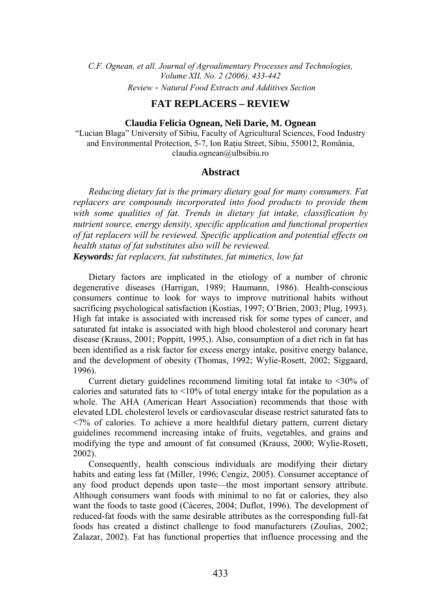*C.F. Ognean, et all. Journal of Agroalimentary Processes and Technologies, Volume XII, No. 2 (2006), 433-442 Review - Natural Food Extracts and Additives Section*

# **FAT REPLACERS – REVIEW**

**Claudia Felicia Ognean, Neli Darie, M. Ognean** 

"Lucian Blaga" University of Sibiu, Faculty of Agricultural Sciences, Food Industry and Environmental Protection, 5-7, Ion Ratiu Street, Sibiu, 550012, România, claudia.ognean@ulbsibiu.ro

# **Abstract**

*Reducing dietary fat is the primary dietary goal for many consumers. Fat replacers are compounds incorporated into food products to provide them with some qualities of fat. Trends in dietary fat intake, classification by nutrient source, energy density, specific application and functional properties of fat replacers will be reviewed. Specific application and potential effects on health status of fat substitutes also will be reviewed. Keywords: fat replacers, fat substitutes, fat mimetics, low fat*

Dietary factors are implicated in the etiology of a number of chronic degenerative diseases (Harrigan, 1989; Haumann, 1986). Health-conscious consumers continue to look for ways to improve nutritional habits without sacrificing psychological satisfaction (Kostias, 1997; O'Brien, 2003; Plug, 1993). High fat intake is associated with increased risk for some types of cancer, and saturated fat intake is associated with high blood cholesterol and coronary heart disease (Krauss, 2001; Poppitt, 1995,). Also, consumption of a diet rich in fat has been identified as a risk factor for excess energy intake, positive energy balance, and the development of obesity (Thomas, 1992; Wylie-Rosett, 2002; Siggaard, 1996).

Current dietary guidelines recommend limiting total fat intake to <30% of calories and saturated fats to  $\langle 10\%$  of total energy intake for the population as a whole. The AHA (American Heart Association) recommends that those with elevated LDL cholesterol levels or cardiovascular disease restrict saturated fats to <7% of calories. To achieve a more healthful dietary pattern, current dietary guidelines recommend increasing intake of fruits, vegetables, and grains and modifying the type and amount of fat consumed (Krauss, 2000; Wylie-Rosett, 2002).

Consequently, health conscious individuals are modifying their dietary habits and eating less fat (Miller, 1996; Cengiz, 2005). Consumer acceptance of any food product depends upon taste—the most important sensory attribute. Although consumers want foods with minimal to no fat or calories, they also want the foods to taste good (Cáceres, 2004; Duflot, 1996). The development of reduced-fat foods with the same desirable attributes as the corresponding full-fat foods has created a distinct challenge to food manufacturers (Zoulias, 2002; Zalazar, 2002). Fat has functional properties that influence processing and the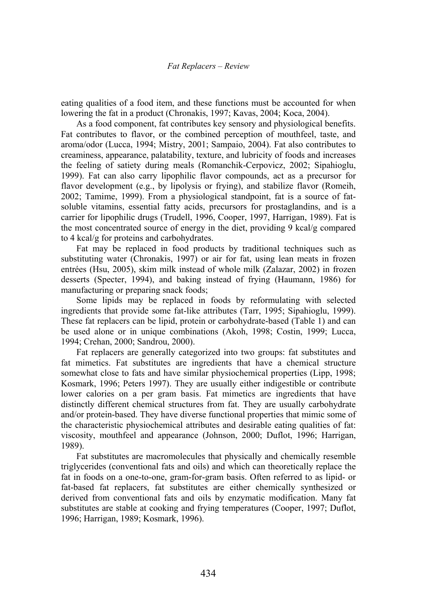eating qualities of a food item, and these functions must be accounted for when lowering the fat in a product (Chronakis, 1997; Kavas, 2004; Koca, 2004).

As a food component, fat contributes key sensory and physiological benefits. Fat contributes to flavor, or the combined perception of mouthfeel, taste, and aroma/odor (Lucca, 1994; Mistry, 2001; Sampaio, 2004). Fat also contributes to creaminess, appearance, palatability, texture, and lubricity of foods and increases the feeling of satiety during meals (Romanchik-Cerpovicz, 2002; Sipahioglu, 1999). Fat can also carry lipophilic flavor compounds, act as a precursor for flavor development (e.g., by lipolysis or frying), and stabilize flavor (Romeih, 2002; Tamime, 1999). From a physiological standpoint, fat is a source of fatsoluble vitamins, essential fatty acids, precursors for prostaglandins, and is a carrier for lipophilic drugs (Trudell, 1996, Cooper, 1997, Harrigan, 1989). Fat is the most concentrated source of energy in the diet, providing 9 kcal/g compared to 4 kcal/g for proteins and carbohydrates.

Fat may be replaced in food products by traditional techniques such as substituting water (Chronakis, 1997) or air for fat, using lean meats in frozen entrées (Hsu, 2005), skim milk instead of whole milk (Zalazar, 2002) in frozen desserts (Specter, 1994), and baking instead of frying (Haumann, 1986) for manufacturing or preparing snack foods;

Some lipids may be replaced in foods by reformulating with selected ingredients that provide some fat-like attributes (Tarr, 1995; Sipahioglu, 1999). These fat replacers can be lipid, protein or carbohydrate-based (Table 1) and can be used alone or in unique combinations (Akoh, 1998; Costin, 1999; Lucca, 1994; Crehan, 2000; Sandrou, 2000).

Fat replacers are generally categorized into two groups: fat substitutes and fat mimetics. Fat substitutes are ingredients that have a chemical structure somewhat close to fats and have similar physiochemical properties (Lipp, 1998; Kosmark, 1996; Peters 1997). They are usually either indigestible or contribute lower calories on a per gram basis. Fat mimetics are ingredients that have distinctly different chemical structures from fat. They are usually carbohydrate and/or protein-based. They have diverse functional properties that mimic some of the characteristic physiochemical attributes and desirable eating qualities of fat: viscosity, mouthfeel and appearance (Johnson, 2000; Duflot, 1996; Harrigan, 1989).

Fat substitutes are macromolecules that physically and chemically resemble triglycerides (conventional fats and oils) and which can theoretically replace the fat in foods on a one-to-one, gram-for-gram basis. Often referred to as lipid- or fat-based fat replacers, fat substitutes are either chemically synthesized or derived from conventional fats and oils by enzymatic modification. Many fat substitutes are stable at cooking and frying temperatures (Cooper, 1997; Duflot, 1996; Harrigan, 1989; Kosmark, 1996).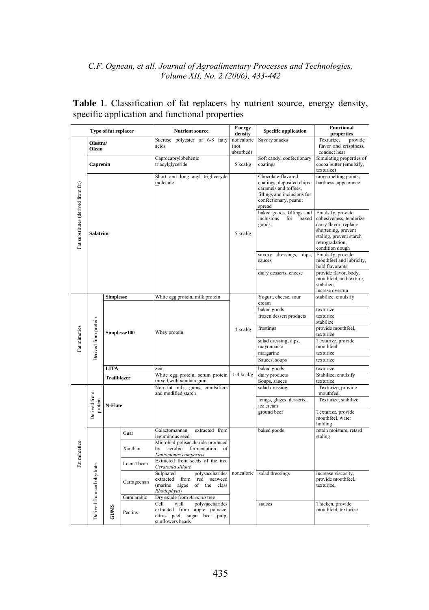|                                    |                           | Type of fat replacer |                        | <b>Nutrient source</b>                                                   | <b>Energy</b><br>density | <b>Specific application</b>                         | <b>Functional</b><br>properties                |
|------------------------------------|---------------------------|----------------------|------------------------|--------------------------------------------------------------------------|--------------------------|-----------------------------------------------------|------------------------------------------------|
|                                    |                           |                      |                        | Sucrose polyester of 6-8<br>fatty                                        | noncaloric               | Savory snacks                                       | Texturize,<br>provide                          |
|                                    | Olestra/<br>Olean         |                      |                        | acids                                                                    | (not                     |                                                     | flavor and crispiness,                         |
|                                    |                           |                      |                        | Caprocaprylobehenic                                                      | absorbed)                | Soft candy, confectionary                           | conduct heat<br>Simulating properties of       |
|                                    | Caprenin                  |                      |                        | triacylglyceride                                                         | 5 kcal/g                 | coatings                                            | cocoa butter (emulsify,                        |
| Fat substitutes (derived from fat) |                           |                      |                        |                                                                          |                          |                                                     | texturize)                                     |
|                                    | Salatrim                  |                      |                        | Short and long acyl trigliceryde<br>molecule                             | $5$ kcal/g               | Chocolate-flavored                                  | range melting points,                          |
|                                    |                           |                      |                        |                                                                          |                          | coatings, deposited chips,<br>caramels and toffees. | hardness, appearance                           |
|                                    |                           |                      |                        |                                                                          |                          | fillings and inclusions for                         |                                                |
|                                    |                           |                      |                        |                                                                          |                          | confectionary, peanut<br>spread                     |                                                |
|                                    |                           |                      |                        |                                                                          |                          | baked goods, fillings and                           | Emulsify, provide                              |
|                                    |                           |                      |                        |                                                                          |                          | inclusions<br>for<br>baked                          | cohesiveness, tenderize                        |
|                                    |                           |                      |                        |                                                                          |                          | goods;                                              | carry flavor, replace                          |
|                                    |                           |                      |                        |                                                                          |                          |                                                     | shortening, prevent<br>staling, prevent starch |
|                                    |                           |                      |                        |                                                                          |                          |                                                     | retrogradation,                                |
|                                    |                           |                      |                        |                                                                          |                          |                                                     | condition dough                                |
|                                    |                           |                      |                        |                                                                          |                          | dressings,<br>dips,<br>savory<br>sauces             | Emulsify, provide<br>mouthfeel and lubricity,  |
|                                    |                           |                      |                        |                                                                          |                          |                                                     | hold flavorants                                |
|                                    |                           |                      |                        |                                                                          |                          | dairy desserts, cheese                              | provide flavor, body,                          |
|                                    |                           |                      |                        |                                                                          |                          |                                                     | mouthfeel, and texture,<br>stabilize.          |
|                                    |                           |                      |                        |                                                                          |                          |                                                     | increse overrun                                |
|                                    |                           | <b>Simplesse</b>     |                        | White egg protein, milk protein                                          |                          | Yogurt, cheese, sour<br>cream                       | stabilize, emulsify                            |
|                                    |                           |                      |                        |                                                                          |                          | baked goods                                         | texturize                                      |
|                                    |                           |                      |                        |                                                                          |                          | frozen dessert products                             | texturize                                      |
|                                    | Derived from protein      |                      |                        |                                                                          |                          |                                                     | stabilize                                      |
| Fat mimetics                       |                           | Simplesse100         |                        | Whey protein                                                             | 4 kcal/g                 | frostings                                           | provide mouthfeel,<br>texturize                |
|                                    |                           |                      |                        |                                                                          |                          | salad dressing, dips,                               | Texturize, provide                             |
|                                    |                           |                      |                        |                                                                          |                          | mayonnaise<br>margarine                             | mouthfeel<br>texturize                         |
|                                    |                           |                      |                        |                                                                          |                          | Sauces, soups                                       | texturize                                      |
|                                    |                           | LITA                 |                        | zein                                                                     |                          | baked goods                                         | texturize                                      |
|                                    |                           | <b>Trailblazer</b>   |                        | White egg protein, serum protein                                         | $1-4$ kcal/g             | dairy products                                      | Stabilize, emulsify                            |
|                                    |                           |                      |                        | mixed with xanthan gum                                                   |                          | Soups, sauces                                       | texturize                                      |
|                                    | Derived from<br>protein   | N-Flate              |                        | Non fat milk, gums, emulsifiers<br>and modified starch                   |                          | salad dressing                                      | Texturize, provide<br>mouthfeel                |
|                                    |                           |                      |                        |                                                                          |                          | Icings, glazes, desserts,<br>ice cream              | Texturize, stabilize                           |
|                                    |                           |                      |                        |                                                                          |                          | ground beef                                         | Texturize, provide                             |
|                                    |                           |                      |                        |                                                                          |                          |                                                     | mouthfeel, water                               |
|                                    |                           |                      |                        | Galactomannan<br>extracted from                                          | noncaloric               | baked goods                                         | holding<br>retain moisture, retard             |
|                                    | Derived from carbohydrate |                      | Guar                   | leguminous seed                                                          |                          |                                                     | staling                                        |
|                                    |                           |                      | Xanthan<br>Locust bean | Microbial polisaccharide produced<br>aerobic<br>bv<br>fermentation<br>of |                          |                                                     |                                                |
|                                    |                           |                      |                        | Xantomonas campestris                                                    |                          |                                                     |                                                |
| Fat mimetics                       |                           |                      |                        | Extracted from seeds of the tree                                         |                          |                                                     |                                                |
|                                    |                           | <b>GUIMS</b>         |                        | Ceratonia silique<br>Sulphated<br>polysaccharides                        |                          | salad dressings                                     | increase viscosity,                            |
|                                    |                           |                      | Carrageenan            | extracted<br>red<br>seaweed<br>from                                      |                          |                                                     | provide mouthfeel,                             |
|                                    |                           |                      |                        | (marine<br>algae<br>$_{\mathrm{of}}$<br>the<br>class                     |                          |                                                     | texturize,                                     |
|                                    |                           |                      | Gum arabic             | Rhodophyta)<br>Dry exude from Accacia tree                               |                          |                                                     |                                                |
|                                    |                           |                      |                        | Cell<br>wall<br>polysaccharides                                          |                          | sauces                                              | Thicken, provide                               |
|                                    |                           |                      | Pectins                | extracted from<br>apple pomace,                                          |                          |                                                     | mouthfeel, texturize                           |
|                                    |                           |                      |                        | citrus peel, sugar beet pulp,<br>sunflowers heads                        |                          |                                                     |                                                |
|                                    |                           |                      |                        |                                                                          |                          |                                                     |                                                |

**Table 1**. Classification of fat replacers by nutrient source, energy density, specific application and functional properties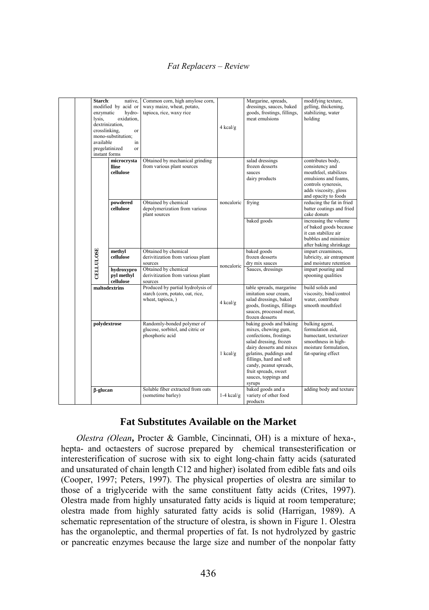# *Fat Replacers – Review*

| Starch:<br>enzymatic<br>lysis.<br>available | native.<br>modified by acid or<br>hydro-<br>oxidation,<br>dextrinization,<br>crosslinking,<br>or<br>mono-substitution:<br>in<br>pregelatinized<br>or<br>instant forms | Common corn, high amylose corn,<br>waxy maize, wheat, potato,<br>tapioca, rice, waxy rice                                                    | 4 kcal/g     | Margarine, spreads,<br>dressings, sauces, baked<br>goods, frostings, fillings,<br>meat emulsions                                                                                                                                                                                             | modifying texture,<br>gelling, thickening,<br>stabilizing, water<br>holding                                                                                                                        |
|---------------------------------------------|-----------------------------------------------------------------------------------------------------------------------------------------------------------------------|----------------------------------------------------------------------------------------------------------------------------------------------|--------------|----------------------------------------------------------------------------------------------------------------------------------------------------------------------------------------------------------------------------------------------------------------------------------------------|----------------------------------------------------------------------------------------------------------------------------------------------------------------------------------------------------|
|                                             | microcrysta<br>lline<br>cellulose                                                                                                                                     | Obtained by mechanical grinding<br>from various plant sources                                                                                |              | salad dressings<br>frozen desserts<br>sauces<br>dairy products                                                                                                                                                                                                                               | contributes body,<br>consistency and<br>mouthfeel, stabilizes<br>emulsions and foams,<br>controls syneresis,<br>adds viscosity, gloss<br>and opacity to foods                                      |
|                                             | powdered<br>cellulose                                                                                                                                                 | Obtained by chemical<br>depolymerization from various<br>plant sources                                                                       | noncaloric   | frying<br>baked goods                                                                                                                                                                                                                                                                        | reducing the fat in fried<br>batter coatings and fried<br>cake donuts<br>increasing the volume<br>of baked goods because<br>it can stabilize air<br>bubbles and minimize<br>after baking shrinkage |
| CELLULOSE                                   | methyl<br>cellulose<br>hydroxypro<br>pyl methyl<br>cellulose                                                                                                          | Obtained by chemical<br>derivitization from various plant<br>sources<br>Obtained by chemical<br>derivitization from various plant<br>sources | noncaloric   | baked goods<br>frozen desserts<br>dry mix sauces<br>Sauces, dressings                                                                                                                                                                                                                        | impart creaminess.<br>lubricity, air entrapment<br>and moisture retention<br>impart pouring and<br>spooning qualities                                                                              |
|                                             | maltodextrins                                                                                                                                                         | Produced by partial hydrolysis of<br>starch (corn, potato, oat, rice,<br>wheat, tapioca, )                                                   | 4 kcal/g     | table spreads, margarine<br>imitation sour cream.<br>salad dressings, baked<br>goods, frostings, fillings<br>sauces, processed meat,<br>frozen desserts                                                                                                                                      | build solids and<br>viscosity, bind/control<br>water, contribute<br>smooth mouthfeel                                                                                                               |
| polydextrose<br><b>B-glucan</b>             |                                                                                                                                                                       | Randomly-bonded polymer of<br>glucose, sorbitol, and citric or<br>phosphoric acid<br>Soluble fiber extracted from oats                       | $1$ kcal/g   | baking goods and baking<br>mixes, chewing gum,<br>confections, frostings<br>salad dressing, frozen<br>dairy desserts and mixes<br>gelatins, puddings and<br>fillings, hard and soft<br>candy, peanut spreads,<br>fruit spreads, sweet<br>sauces, toppings and<br>syrups<br>baked goods and a | bulking agent,<br>formulation aid.<br>humectant, texturizer<br>smoothness in high-<br>moisture formulation,<br>fat-sparing effect<br>adding body and texture                                       |
|                                             |                                                                                                                                                                       | (sometime barley)                                                                                                                            | $1-4$ kcal/g | variety of other food<br>products                                                                                                                                                                                                                                                            |                                                                                                                                                                                                    |

# **Fat Substitutes Available on the Market**

*Olestra (Olean***,** Procter & Gamble, Cincinnati, OH) is a mixture of hexa-, hepta- and octaesters of sucrose prepared by chemical transesterification or interesterification of sucrose with six to eight long-chain fatty acids (saturated and unsaturated of chain length C12 and higher) isolated from edible fats and oils (Cooper, 1997; Peters, 1997). The physical properties of olestra are similar to those of a triglyceride with the same constituent fatty acids (Crites, 1997). Olestra made from highly unsaturated fatty acids is liquid at room temperature; olestra made from highly saturated fatty acids is solid (Harrigan, 1989). A schematic representation of the structure of olestra, is shown in Figure 1. Olestra has the organoleptic, and thermal properties of fat. Is not hydrolyzed by gastric or pancreatic enzymes because the large size and number of the nonpolar fatty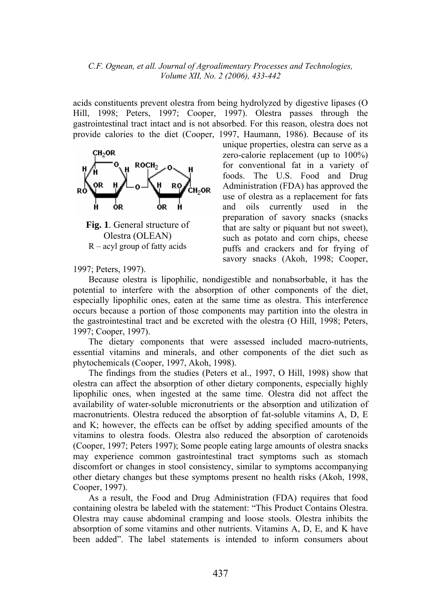acids constituents prevent olestra from being hydrolyzed by digestive lipases (O Hill, 1998; Peters, 1997; Cooper, 1997). Olestra passes through the gastrointestinal tract intact and is not absorbed. For this reason, olestra does not provide calories to the diet (Cooper, 1997, Haumann, 1986). Because of its



**Fig. 1**. General structure of Olestra (OLEAN) R – acyl group of fatty acids

1997; Peters, 1997).

unique properties, olestra can serve as a zero-calorie replacement (up to 100%) for conventional fat in a variety of foods. The U.S. Food and Drug Administration (FDA) has approved the use of olestra as a replacement for fats and oils currently used in the preparation of savory snacks (snacks that are salty or piquant but not sweet), such as potato and corn chips, cheese puffs and crackers and for frying of savory snacks (Akoh, 1998; Cooper,

Because olestra is lipophilic, nondigestible and nonabsorbable, it has the potential to interfere with the absorption of other components of the diet, especially lipophilic ones, eaten at the same time as olestra. This interference occurs because a portion of those components may partition into the olestra in the gastrointestinal tract and be excreted with the olestra (O Hill, 1998; Peters, 1997; Cooper, 1997).

The dietary components that were assessed included macro-nutrients, essential vitamins and minerals, and other components of the diet such as phytochemicals (Cooper, 1997, Akoh, 1998).

The findings from the studies (Peters et al., 1997, O Hill, 1998) show that olestra can affect the absorption of other dietary components, especially highly lipophilic ones, when ingested at the same time. Olestra did not affect the availability of water-soluble micronutrients or the absorption and utilization of macronutrients. Olestra reduced the absorption of fat-soluble vitamins A, D, E and K; however, the effects can be offset by adding specified amounts of the vitamins to olestra foods. Olestra also reduced the absorption of carotenoids (Cooper, 1997; Peters 1997); Some people eating large amounts of olestra snacks may experience common gastrointestinal tract symptoms such as stomach discomfort or changes in stool consistency, similar to symptoms accompanying other dietary changes but these symptoms present no health risks (Akoh, 1998, Cooper, 1997).

As a result, the Food and Drug Administration (FDA) requires that food containing olestra be labeled with the statement: "This Product Contains Olestra. Olestra may cause abdominal cramping and loose stools. Olestra inhibits the absorption of some vitamins and other nutrients. Vitamins A, D, E, and K have been added". The label statements is intended to inform consumers about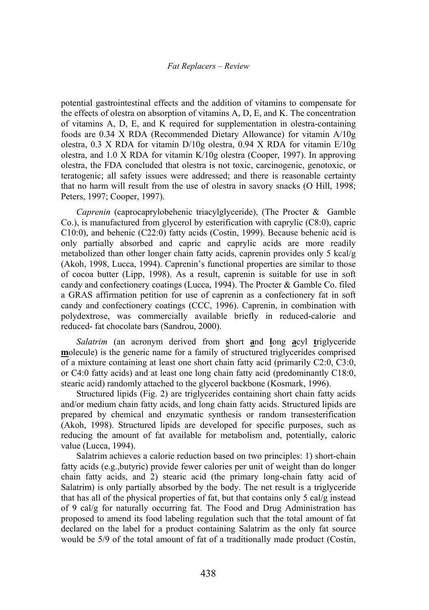#### *Fat Replacers – Review*

potential gastrointestinal effects and the addition of vitamins to compensate for the effects of olestra on absorption of vitamins A, D, E, and K. The concentration of vitamins A, D, E, and K required for supplementation in olestra-containing foods are 0.34 X RDA (Recommended Dietary Allowance) for vitamin A/10g olestra, 0.3 X RDA for vitamin D/10g olestra, 0.94 X RDA for vitamin E/10g olestra, and 1.0 X RDA for vitamin K/10g olestra (Cooper, 1997). In approving olestra, the FDA concluded that olestra is not toxic, carcinogenic, genotoxic, or teratogenic; all safety issues were addressed; and there is reasonable certainty that no harm will result from the use of olestra in savory snacks (O Hill, 1998; Peters, 1997; Cooper, 1997).

*Caprenin* (caprocaprylobehenic triacylglyceride), (The Procter & Gamble Co.), is manufactured from glycerol by esterification with caprylic (C8:0), capric C10:0), and behenic (C22:0) fatty acids (Costin, 1999). Because behenic acid is only partially absorbed and capric and caprylic acids are more readily metabolized than other longer chain fatty acids, caprenin provides only 5 kcal/g (Akoh, 1998, Lucca, 1994). Caprenin's functional properties are similar to those of cocoa butter (Lipp, 1998). As a result, caprenin is suitable for use in soft candy and confectionery coatings (Lucca, 1994). The Procter & Gamble Co. filed a GRAS affirmation petition for use of caprenin as a confectionery fat in soft candy and confectionery coatings (CCC, 1996). Caprenin, in combination with polydextrose, was commercially available briefly in reduced-calorie and reduced- fat chocolate bars (Sandrou, 2000).

*Salatrim* (an acronym derived from **s**hort **a**nd **l**ong **a**cyl **t**riglyceride **m**olecule) is the generic name for a family of structured triglycerides comprised of a mixture containing at least one short chain fatty acid (primarily C2:0, C3:0, or C4:0 fatty acids) and at least one long chain fatty acid (predominantly C18:0, stearic acid) randomly attached to the glycerol backbone (Kosmark, 1996).

Structured lipids (Fig. 2) are triglycerides containing short chain fatty acids and/or medium chain fatty acids, and long chain fatty acids. Structured lipids are prepared by chemical and enzymatic synthesis or random transesterification (Akoh, 1998). Structured lipids are developed for specific purposes, such as reducing the amount of fat available for metabolism and, potentially, caloric value (Lucca, 1994).

Salatrim achieves a calorie reduction based on two principles: 1) short-chain fatty acids (e.g.,butyric) provide fewer calories per unit of weight than do longer chain fatty acids, and 2) stearic acid (the primary long-chain fatty acid of Salatrim) is only partially absorbed by the body. The net result is a triglyceride that has all of the physical properties of fat, but that contains only 5 cal/g instead of 9 cal/g for naturally occurring fat. The Food and Drug Administration has proposed to amend its food labeling regulation such that the total amount of fat declared on the label for a product containing Salatrim as the only fat source would be 5/9 of the total amount of fat of a traditionally made product (Costin,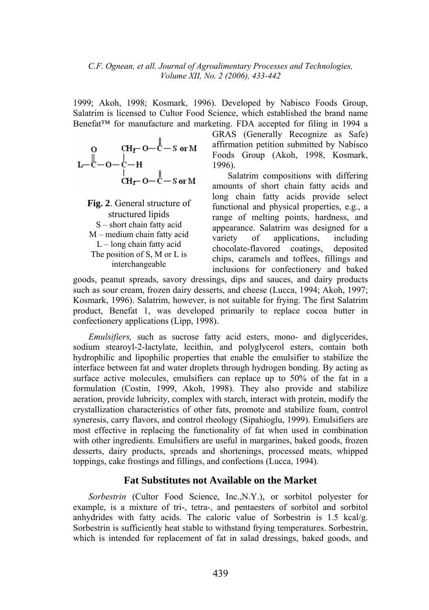1999; Akoh, 1998; Kosmark, 1996). Developed by Nabisco Foods Group, Salatrim is licensed to Cultor Food Science, which established the brand name Benefat™ for manufacture and marketing. FDA accepted for filing in 1994 a

$$
\begin{array}{cc}\n0 & \text{CH}_{\mathcal{I}^-} - \text{C} - \text{S or M} \\
L - \text{C} - \text{O} - \text{C} - \text{H} \\
 & \text{CH}_{\mathcal{I}^-} - \text{O} - \text{C} - \text{S or M}\n\end{array}
$$

**Fig. 2**. General structure of structured lipids S – short chain fatty acid M – medium chain fatty acid  $L$  – long chain fatty acid The position of S, M or L is interchangeable

GRAS (Generally Recognize as Safe) affirmation petition submitted by Nabisco Foods Group (Akoh, 1998, Kosmark, 1996).

Salatrim compositions with differing amounts of short chain fatty acids and long chain fatty acids provide select functional and physical properties, e.g., a range of melting points, hardness, and appearance. Salatrim was designed for a variety of applications, including chocolate-flavored coatings, deposited chips, caramels and toffees, fillings and inclusions for confectionery and baked

goods, peanut spreads, savory dressings, dips and sauces, and dairy products such as sour cream, frozen dairy desserts, and cheese (Lucca, 1994; Akoh, 1997; Kosmark, 1996). Salatrim, however, is not suitable for frying. The first Salatrim product, Benefat 1, was developed primarily to replace cocoa butter in confectionery applications (Lipp, 1998).

*Emulsifiers,* such as sucrose fatty acid esters, mono- and diglycerides, sodium stearoyl-2-lactylate, lecithin, and polyglycerol esters, contain both hydrophilic and lipophilic properties that enable the emulsifier to stabilize the interface between fat and water droplets through hydrogen bonding. By acting as surface active molecules, emulsifiers can replace up to 50% of the fat in a formulation (Costin, 1999, Akoh, 1998). They also provide and stabilize aeration, provide lubricity, complex with starch, interact with protein, modify the crystallization characteristics of other fats, promote and stabilize foam, control syneresis, carry flavors, and control rheology (Sipahioglu, 1999). Emulsifiers are most effective in replacing the functionality of fat when used in combination with other ingredients. Emulsifiers are useful in margarines, baked goods, frozen desserts, dairy products, spreads and shortenings, processed meats, whipped toppings, cake frostings and fillings, and confections (Lucca, 1994).

# **Fat Substitutes not Available on the Market**

*Sorbestrin* (Cultor Food Science, Inc.,N.Y.), or sorbitol polyester for example, is a mixture of tri-, tetra-, and pentaesters of sorbitol and sorbitol anhydrides with fatty acids. The caloric value of Sorbestrin is 1.5 kcal/g. Sorbestrin is sufficiently heat stable to withstand frying temperatures. Sorbestrin, which is intended for replacement of fat in salad dressings, baked goods, and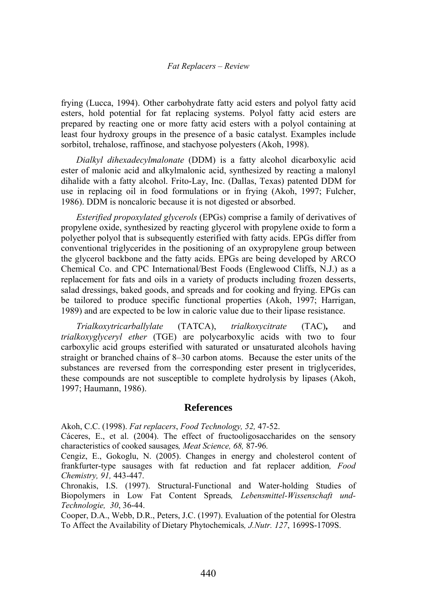frying (Lucca, 1994). Other carbohydrate fatty acid esters and polyol fatty acid esters, hold potential for fat replacing systems. Polyol fatty acid esters are prepared by reacting one or more fatty acid esters with a polyol containing at least four hydroxy groups in the presence of a basic catalyst. Examples include sorbitol, trehalose, raffinose, and stachyose polyesters (Akoh, 1998).

*Dialkyl dihexadecylmalonate* (DDM) is a fatty alcohol dicarboxylic acid ester of malonic acid and alkylmalonic acid, synthesized by reacting a malonyl dihalide with a fatty alcohol. Frito-Lay, Inc. (Dallas, Texas) patented DDM for use in replacing oil in food formulations or in frying (Akoh, 1997; Fulcher, 1986). DDM is noncaloric because it is not digested or absorbed.

*Esterified propoxylated glycerols* (EPGs) comprise a family of derivatives of propylene oxide, synthesized by reacting glycerol with propylene oxide to form a polyether polyol that is subsequently esterified with fatty acids. EPGs differ from conventional triglycerides in the positioning of an oxypropylene group between the glycerol backbone and the fatty acids. EPGs are being developed by ARCO Chemical Co. and CPC International/Best Foods (Englewood Cliffs, N.J.) as a replacement for fats and oils in a variety of products including frozen desserts, salad dressings, baked goods, and spreads and for cooking and frying. EPGs can be tailored to produce specific functional properties (Akoh, 1997; Harrigan, 1989) and are expected to be low in caloric value due to their lipase resistance.

*Trialkoxytricarballylate* (TATCA), *trialkoxycitrate* (TAC)**,** and *trialkoxyglyceryl ether* (TGE) are polycarboxylic acids with two to four carboxylic acid groups esterified with saturated or unsaturated alcohols having straight or branched chains of 8–30 carbon atoms. Because the ester units of the substances are reversed from the corresponding ester present in triglycerides, these compounds are not susceptible to complete hydrolysis by lipases (Akoh, 1997; Haumann, 1986).

#### **References**

Akoh, C.C. (1998). *Fat replacers*, *Food Technology, 52,* 47-52.

Cáceres, E., et al. (2004). The effect of fructooligosaccharides on the sensory characteristics of cooked sausages*, Meat Science, 68,* 87-96*.*

Cengiz, E., Gokoglu, N. (2005). Changes in energy and cholesterol content of frankfurter-type sausages with fat reduction and fat replacer addition*, Food Chemistry, 91,* 443-447.

Chronakis, I.S. (1997). Structural-Functional and Water-holding Studies of Biopolymers in Low Fat Content Spreads*, Lebensmittel-Wissenschaft und-Technologie, 30*, 36-44.

Cooper, D.A., Webb, D.R., Peters, J.C. (1997). Evaluation of the potential for Olestra To Affect the Availability of Dietary Phytochemicals*, J.Nutr. 127*, 1699S-1709S.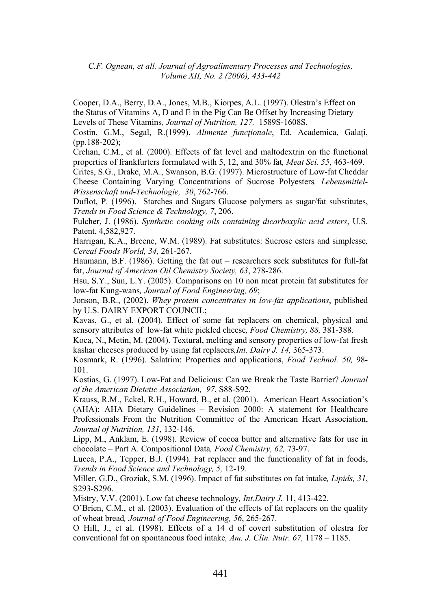Cooper, D.A., Berry, D.A., Jones, M.B., Kiorpes, A.L. (1997). Olestra's Effect on the Status of Vitamins A, D and E in the Pig Can Be Offset by Increasing Dietary Levels of These Vitamins*, Journal of Nutrition, 127,* 1589S-1608S.

Costin, G.M., Segal, R.(1999). *Alimente funcţionale*, Ed. Academica, Galaţi, (pp.188-202);

Crehan, C.M., et al. (2000). Effects of fat level and maltodextrin on the functional properties of frankfurters formulated with 5, 12, and 30% fat*, Meat Sci. 55*, 463-469.

Crites, S.G., Drake, M.A., Swanson, B.G. (1997). Microstructure of Low-fat Cheddar Cheese Containing Varying Concentrations of Sucrose Polyesters*, Lebensmittel-Wissenschaft und-Technologie, 30*, 762-766.

Duflot, P. (1996). Starches and Sugars Glucose polymers as sugar/fat substitutes, *Trends in Food Science & Technology, 7*, 206.

Fulcher, J. (1986). *Synthetic cooking oils containing dicarboxylic acid esters*, U.S. Patent, 4,582,927.

Harrigan, K.A., Breene, W.M. (1989). Fat substitutes: Sucrose esters and simplesse*, Cereal Foods World, 34,* 261-267.

Haumann, B.F. (1986). Getting the fat out – researchers seek substitutes for full-fat fat, *Journal of American Oil Chemistry Society, 63*, 278-286.

Hsu, S.Y., Sun, L.Y. (2005). Comparisons on 10 non meat protein fat substitutes for low-fat Kung-wans*, Journal of Food Engineering, 69*;

Jonson, B.R., (2002). *Whey protein concentrates in low-fat applications*, published by U.S. DAIRY EXPORT COUNCIL;

Kavas, G., et al. (2004). Effect of some fat replacers on chemical, physical and sensory attributes of low-fat white pickled cheese*, Food Chemistry, 88,* 381-388.

Koca, N., Metin, M. (2004). Textural, melting and sensory properties of low-fat fresh kashar cheeses produced by using fat replacers*,Int. Dairy J. 14,* 365-373.

Kosmark, R. (1996). Salatrim: Properties and applications, *Food Technol. 50,* 98- 101.

Kostias, G. (1997). Low-Fat and Delicious: Can we Break the Taste Barrier? *Journal of the American Dietetic Association, 97*, S88-S92.

Krauss, R.M., Eckel, R.H., Howard, B., et al. (2001). American Heart Association's (AHA): AHA Dietary Guidelines – Revision 2000: A statement for Healthcare Professionals From the Nutrition Committee of the American Heart Association, *Journal of Nutrition, 131*, 132-146.

Lipp, M., Anklam, E. (1998). Review of cocoa butter and alternative fats for use in chocolate – Part A. Compositional Data*, Food Chemistry, 62,* 73-97.

Lucca, P.A., Tepper, B.J. (1994). Fat replacer and the functionality of fat in foods, *Trends in Food Science and Technology, 5,* 12-19.

Miller, G.D., Groziak, S.M. (1996). Impact of fat substitutes on fat intake*, Lipids, 31*, S293-S296.

Mistry, V.V. (2001). Low fat cheese technology*, Int.Dairy J.* 11, 413-422.

O'Brien, C.M., et al. (2003). Evaluation of the effects of fat replacers on the quality of wheat bread*, Journal of Food Engineering, 56*, 265-267.

O Hill, J., et al. (1998). Effects of a 14 d of covert substitution of olestra for conventional fat on spontaneous food intake*, Am. J. Clin. Nutr. 67,* 1178 – 1185.